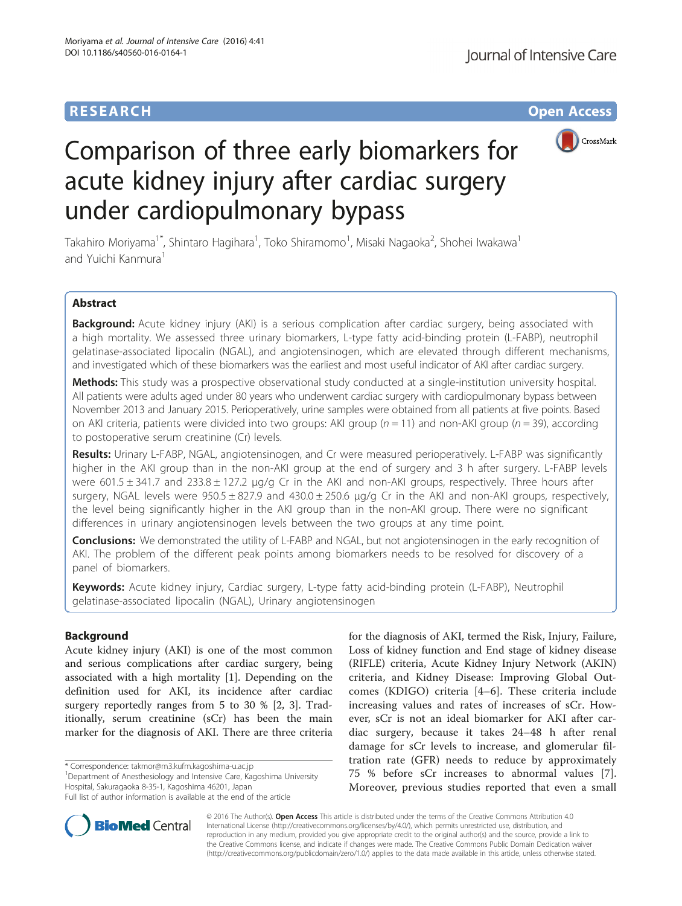# **RESEARCH CHE Open Access**



# Comparison of three early biomarkers for acute kidney injury after cardiac surgery under cardiopulmonary bypass

Takahiro Moriyama<sup>1\*</sup>, Shintaro Hagihara<sup>1</sup>, Toko Shiramomo<sup>1</sup>, Misaki Nagaoka<sup>2</sup>, Shohei Iwakawa<sup>1</sup> and Yuichi Kanmura<sup>1</sup>

## Abstract

Background: Acute kidney injury (AKI) is a serious complication after cardiac surgery, being associated with a high mortality. We assessed three urinary biomarkers, L-type fatty acid-binding protein (L-FABP), neutrophil gelatinase-associated lipocalin (NGAL), and angiotensinogen, which are elevated through different mechanisms, and investigated which of these biomarkers was the earliest and most useful indicator of AKI after cardiac surgery.

Methods: This study was a prospective observational study conducted at a single-institution university hospital. All patients were adults aged under 80 years who underwent cardiac surgery with cardiopulmonary bypass between November 2013 and January 2015. Perioperatively, urine samples were obtained from all patients at five points. Based on AKI criteria, patients were divided into two groups: AKI group ( $n = 11$ ) and non-AKI group ( $n = 39$ ), according to postoperative serum creatinine (Cr) levels.

Results: Urinary L-FABP, NGAL, angiotensinogen, and Cr were measured perioperatively. L-FABP was significantly higher in the AKI group than in the non-AKI group at the end of surgery and 3 h after surgery. L-FABP levels were 601.5  $\pm$  341.7 and 233.8  $\pm$  127.2  $\mu$ g/g Cr in the AKI and non-AKI groups, respectively. Three hours after surgery, NGAL levels were  $950.5 \pm 827.9$  and  $430.0 \pm 250.6$  µg/g Cr in the AKI and non-AKI groups, respectively, the level being significantly higher in the AKI group than in the non-AKI group. There were no significant differences in urinary angiotensinogen levels between the two groups at any time point.

**Conclusions:** We demonstrated the utility of L-FABP and NGAL, but not angiotensinogen in the early recognition of AKI. The problem of the different peak points among biomarkers needs to be resolved for discovery of a panel of biomarkers.

Keywords: Acute kidney injury, Cardiac surgery, L-type fatty acid-binding protein (L-FABP), Neutrophil gelatinase-associated lipocalin (NGAL), Urinary angiotensinogen

## Background

Acute kidney injury (AKI) is one of the most common and serious complications after cardiac surgery, being associated with a high mortality [[1\]](#page-5-0). Depending on the definition used for AKI, its incidence after cardiac surgery reportedly ranges from 5 to 30 % [\[2](#page-5-0), [3\]](#page-5-0). Traditionally, serum creatinine (sCr) has been the main marker for the diagnosis of AKI. There are three criteria

\* Correspondence: [takmor@m3.kufm.kagoshima-u.ac.jp](mailto:takmor@m3.kufm.kagoshima-u.ac.jp) <sup>1</sup>

<sup>1</sup>Department of Anesthesiology and Intensive Care, Kagoshima University Hospital, Sakuragaoka 8-35-1, Kagoshima 46201, Japan

for the diagnosis of AKI, termed the Risk, Injury, Failure, Loss of kidney function and End stage of kidney disease (RIFLE) criteria, Acute Kidney Injury Network (AKIN) criteria, and Kidney Disease: Improving Global Outcomes (KDIGO) criteria [\[4](#page-5-0)–[6](#page-5-0)]. These criteria include increasing values and rates of increases of sCr. However, sCr is not an ideal biomarker for AKI after cardiac surgery, because it takes 24–48 h after renal damage for sCr levels to increase, and glomerular filtration rate (GFR) needs to reduce by approximately 75 % before sCr increases to abnormal values [\[7](#page-5-0)]. Moreover, previous studies reported that even a small



© 2016 The Author(s). Open Access This article is distributed under the terms of the Creative Commons Attribution 4.0 International License [\(http://creativecommons.org/licenses/by/4.0/](http://creativecommons.org/licenses/by/4.0/)), which permits unrestricted use, distribution, and reproduction in any medium, provided you give appropriate credit to the original author(s) and the source, provide a link to the Creative Commons license, and indicate if changes were made. The Creative Commons Public Domain Dedication waiver [\(http://creativecommons.org/publicdomain/zero/1.0/](http://creativecommons.org/publicdomain/zero/1.0/)) applies to the data made available in this article, unless otherwise stated.

Full list of author information is available at the end of the article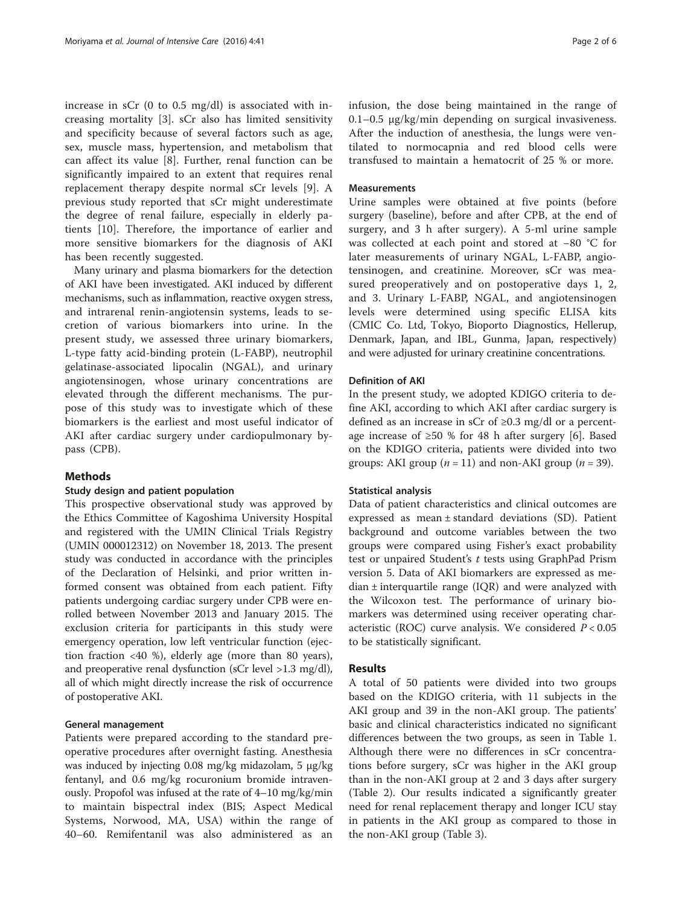increase in sCr (0 to 0.5 mg/dl) is associated with increasing mortality [[3\]](#page-5-0). sCr also has limited sensitivity and specificity because of several factors such as age, sex, muscle mass, hypertension, and metabolism that can affect its value [[8\]](#page-5-0). Further, renal function can be significantly impaired to an extent that requires renal replacement therapy despite normal sCr levels [\[9](#page-5-0)]. A previous study reported that sCr might underestimate the degree of renal failure, especially in elderly patients [[10\]](#page-5-0). Therefore, the importance of earlier and more sensitive biomarkers for the diagnosis of AKI has been recently suggested.

Many urinary and plasma biomarkers for the detection of AKI have been investigated. AKI induced by different mechanisms, such as inflammation, reactive oxygen stress, and intrarenal renin-angiotensin systems, leads to secretion of various biomarkers into urine. In the present study, we assessed three urinary biomarkers, L-type fatty acid-binding protein (L-FABP), neutrophil gelatinase-associated lipocalin (NGAL), and urinary angiotensinogen, whose urinary concentrations are elevated through the different mechanisms. The purpose of this study was to investigate which of these biomarkers is the earliest and most useful indicator of AKI after cardiac surgery under cardiopulmonary bypass (CPB).

#### Methods

#### Study design and patient population

This prospective observational study was approved by the Ethics Committee of Kagoshima University Hospital and registered with the UMIN Clinical Trials Registry (UMIN 000012312) on November 18, 2013. The present study was conducted in accordance with the principles of the Declaration of Helsinki, and prior written informed consent was obtained from each patient. Fifty patients undergoing cardiac surgery under CPB were enrolled between November 2013 and January 2015. The exclusion criteria for participants in this study were emergency operation, low left ventricular function (ejection fraction <40 %), elderly age (more than 80 years), and preoperative renal dysfunction (sCr level >1.3 mg/dl), all of which might directly increase the risk of occurrence of postoperative AKI.

#### General management

Patients were prepared according to the standard preoperative procedures after overnight fasting. Anesthesia was induced by injecting 0.08 mg/kg midazolam, 5 μg/kg fentanyl, and 0.6 mg/kg rocuronium bromide intravenously. Propofol was infused at the rate of 4–10 mg/kg/min to maintain bispectral index (BIS; Aspect Medical Systems, Norwood, MA, USA) within the range of 40–60. Remifentanil was also administered as an infusion, the dose being maintained in the range of 0.1–0.5 μg/kg/min depending on surgical invasiveness. After the induction of anesthesia, the lungs were ventilated to normocapnia and red blood cells were transfused to maintain a hematocrit of 25 % or more.

## **Measurements**

Urine samples were obtained at five points (before surgery (baseline), before and after CPB, at the end of surgery, and 3 h after surgery). A 5-ml urine sample was collected at each point and stored at −80 °C for later measurements of urinary NGAL, L-FABP, angiotensinogen, and creatinine. Moreover, sCr was measured preoperatively and on postoperative days 1, 2, and 3. Urinary L-FABP, NGAL, and angiotensinogen levels were determined using specific ELISA kits (CMIC Co. Ltd, Tokyo, Bioporto Diagnostics, Hellerup, Denmark, Japan, and IBL, Gunma, Japan, respectively) and were adjusted for urinary creatinine concentrations.

#### Definition of AKI

In the present study, we adopted KDIGO criteria to define AKI, according to which AKI after cardiac surgery is defined as an increase in sCr of  $\geq 0.3$  mg/dl or a percentage increase of  $\geq 50$  % for 48 h after surgery [\[6](#page-5-0)]. Based on the KDIGO criteria, patients were divided into two groups: AKI group ( $n = 11$ ) and non-AKI group ( $n = 39$ ).

#### Statistical analysis

Data of patient characteristics and clinical outcomes are expressed as mean ± standard deviations (SD). Patient background and outcome variables between the two groups were compared using Fisher's exact probability test or unpaired Student's t tests using GraphPad Prism version 5. Data of AKI biomarkers are expressed as median ± interquartile range (IQR) and were analyzed with the Wilcoxon test. The performance of urinary biomarkers was determined using receiver operating characteristic (ROC) curve analysis. We considered  $P < 0.05$ to be statistically significant.

#### Results

A total of 50 patients were divided into two groups based on the KDIGO criteria, with 11 subjects in the AKI group and 39 in the non-AKI group. The patients' basic and clinical characteristics indicated no significant differences between the two groups, as seen in Table [1](#page-2-0). Although there were no differences in sCr concentrations before surgery, sCr was higher in the AKI group than in the non-AKI group at 2 and 3 days after surgery (Table [2](#page-2-0)). Our results indicated a significantly greater need for renal replacement therapy and longer ICU stay in patients in the AKI group as compared to those in the non-AKI group (Table [3\)](#page-2-0).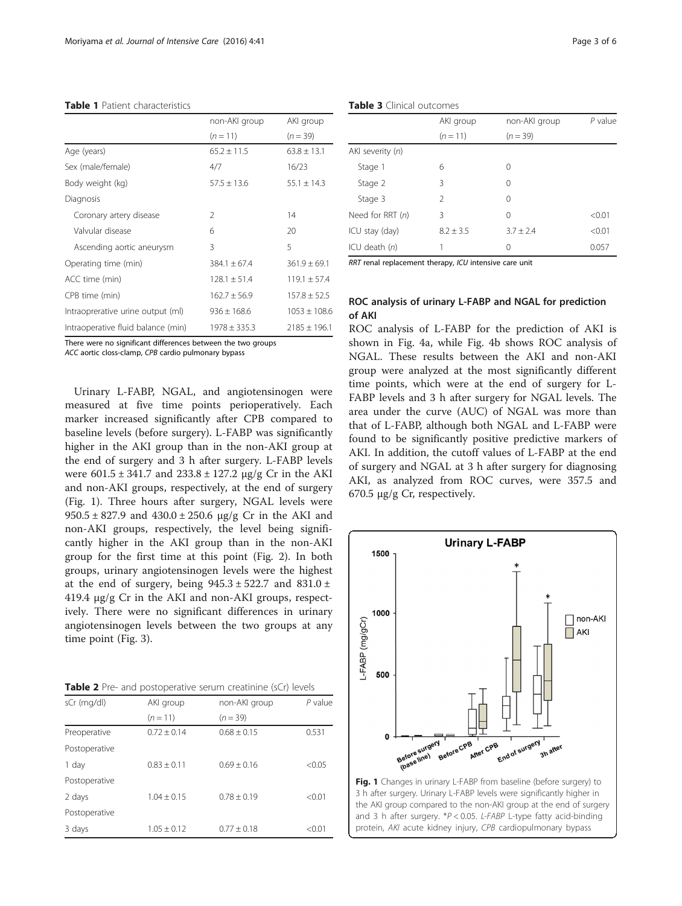#### <span id="page-2-0"></span>Table 1 Patient characteristics

|                                    | non-AKI group    | AKI group        |  |
|------------------------------------|------------------|------------------|--|
|                                    | $(n = 11)$       | $(n = 39)$       |  |
| Age (years)                        | $65.2 \pm 11.5$  | $63.8 \pm 13.1$  |  |
| Sex (male/female)                  | 4/7              | 16/23            |  |
| Body weight (kg)                   | $57.5 \pm 13.6$  | $55.1 \pm 14.3$  |  |
| Diagnosis                          |                  |                  |  |
| Coronary artery disease            | $\mathcal{P}$    | 14               |  |
| Valvular disease                   | 6                | 20               |  |
| Ascending aortic aneurysm          | 3                | 5                |  |
| Operating time (min)               | $384.1 \pm 67.4$ | $361.9 \pm 69.1$ |  |
| ACC time (min)                     | $128.1 \pm 51.4$ | $119.1 \pm 57.4$ |  |
| CPB time (min)                     | $162.7 \pm 56.9$ | $157.8 \pm 52.5$ |  |
| Intraoprerative urine output (ml)  | $936 \pm 168.6$  | $1053 \pm 108.6$ |  |
| Intraoperative fluid balance (min) | $1978 \pm 335.3$ | $2185 \pm 196.1$ |  |

There were no significant differences between the two groups

ACC aortic closs-clamp, CPB cardio pulmonary bypass

Urinary L-FABP, NGAL, and angiotensinogen were measured at five time points perioperatively. Each marker increased significantly after CPB compared to baseline levels (before surgery). L-FABP was significantly higher in the AKI group than in the non-AKI group at the end of surgery and 3 h after surgery. L-FABP levels were  $601.5 \pm 341.7$  and  $233.8 \pm 127.2$   $\mu$ g/g Cr in the AKI and non-AKI groups, respectively, at the end of surgery (Fig. 1). Three hours after surgery, NGAL levels were  $950.5 \pm 827.9$  and  $430.0 \pm 250.6$   $\mu$ g/g Cr in the AKI and non-AKI groups, respectively, the level being significantly higher in the AKI group than in the non-AKI group for the first time at this point (Fig. [2](#page-3-0)). In both groups, urinary angiotensinogen levels were the highest at the end of surgery, being  $945.3 \pm 522.7$  and  $831.0 \pm 10$ 419.4 μg/g Cr in the AKI and non-AKI groups, respectively. There were no significant differences in urinary angiotensinogen levels between the two groups at any time point (Fig. [3\)](#page-3-0).

| Table 2 Pre- and postoperative serum creatinine (sCr) levels |  |  |  |
|--------------------------------------------------------------|--|--|--|
|--------------------------------------------------------------|--|--|--|

| sCr (mg/dl)   | AKI group       | non-AKI group   | $P$ value |
|---------------|-----------------|-----------------|-----------|
|               | $(n=11)$        | $(n = 39)$      |           |
| Preoperative  | $0.72 + 0.14$   | $0.68 \pm 0.15$ | 0.531     |
| Postoperative |                 |                 |           |
| 1 day         | $0.83 + 0.11$   | $0.69 + 0.16$   | < 0.05    |
| Postoperative |                 |                 |           |
| 2 days        | $1.04 + 0.15$   | $0.78 + 0.19$   | < 0.01    |
| Postoperative |                 |                 |           |
| 3 days        | $1.05 \pm 0.12$ | $0.77 + 0.18$   | < 0.01    |

|                  | AKI group      | non-AKI group | $P$ value |
|------------------|----------------|---------------|-----------|
|                  | $(n = 11)$     | $(n = 39)$    |           |
| AKI severity (n) |                |               |           |
| Stage 1          | 6              | 0             |           |
| Stage 2          | 3              | 0             |           |
| Stage 3          | $\mathfrak{D}$ | 0             |           |
| Need for RRT (n) | 3              | 0             | < 0.01    |
| ICU stay (day)   | $8.2 + 3.5$    | $3.7 + 2.4$   | < 0.01    |
| ICU death $(n)$  | 1              | 0             | 0.057     |

RRT renal replacement therapy, ICU intensive care unit

## ROC analysis of urinary L-FABP and NGAL for prediction of AKI

ROC analysis of L-FABP for the prediction of AKI is shown in Fig. [4a,](#page-4-0) while Fig. [4b](#page-4-0) shows ROC analysis of NGAL. These results between the AKI and non-AKI group were analyzed at the most significantly different time points, which were at the end of surgery for L-FABP levels and 3 h after surgery for NGAL levels. The area under the curve (AUC) of NGAL was more than that of L-FABP, although both NGAL and L-FABP were found to be significantly positive predictive markers of AKI. In addition, the cutoff values of L-FABP at the end of surgery and NGAL at 3 h after surgery for diagnosing AKI, as analyzed from ROC curves, were 357.5 and 670.5 μg/g Cr, respectively.



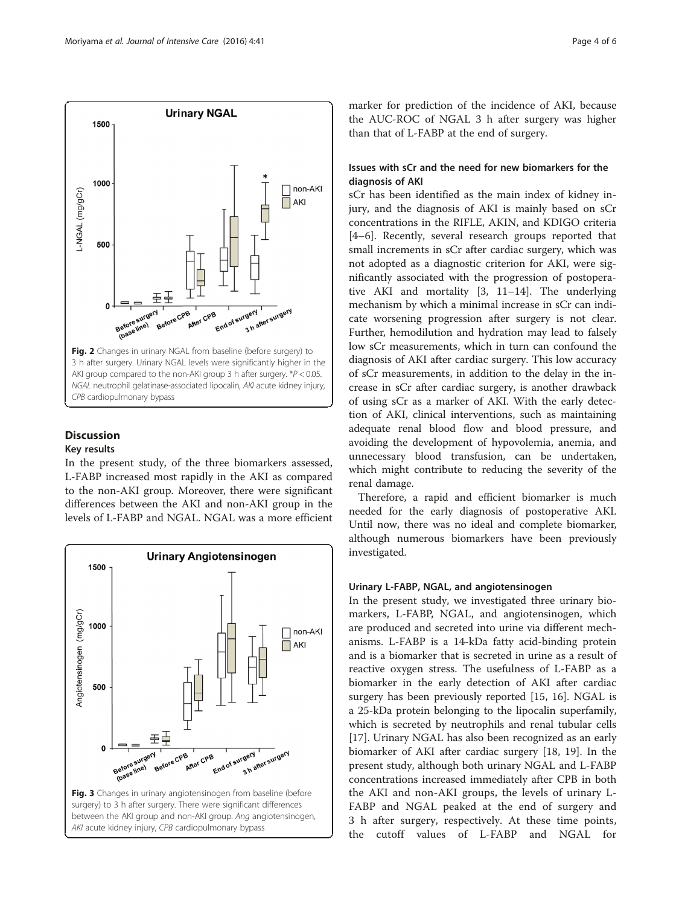<span id="page-3-0"></span>

# **Discussion**

## Key results

In the present study, of the three biomarkers assessed, L-FABP increased most rapidly in the AKI as compared to the non-AKI group. Moreover, there were significant differences between the AKI and non-AKI group in the levels of L-FABP and NGAL. NGAL was a more efficient



marker for prediction of the incidence of AKI, because the AUC-ROC of NGAL 3 h after surgery was higher than that of L-FABP at the end of surgery.

## Issues with sCr and the need for new biomarkers for the diagnosis of AKI

sCr has been identified as the main index of kidney injury, and the diagnosis of AKI is mainly based on sCr concentrations in the RIFLE, AKIN, and KDIGO criteria [[4](#page-5-0)–[6\]](#page-5-0). Recently, several research groups reported that small increments in sCr after cardiac surgery, which was not adopted as a diagnostic criterion for AKI, were significantly associated with the progression of postoperative AKI and mortality [[3, 11](#page-5-0)–[14](#page-5-0)]. The underlying mechanism by which a minimal increase in sCr can indicate worsening progression after surgery is not clear. Further, hemodilution and hydration may lead to falsely low sCr measurements, which in turn can confound the diagnosis of AKI after cardiac surgery. This low accuracy of sCr measurements, in addition to the delay in the increase in sCr after cardiac surgery, is another drawback of using sCr as a marker of AKI. With the early detection of AKI, clinical interventions, such as maintaining adequate renal blood flow and blood pressure, and avoiding the development of hypovolemia, anemia, and unnecessary blood transfusion, can be undertaken, which might contribute to reducing the severity of the renal damage.

Therefore, a rapid and efficient biomarker is much needed for the early diagnosis of postoperative AKI. Until now, there was no ideal and complete biomarker, although numerous biomarkers have been previously investigated.

## Urinary L-FABP, NGAL, and angiotensinogen

In the present study, we investigated three urinary biomarkers, L-FABP, NGAL, and angiotensinogen, which are produced and secreted into urine via different mechanisms. L-FABP is a 14-kDa fatty acid-binding protein and is a biomarker that is secreted in urine as a result of reactive oxygen stress. The usefulness of L-FABP as a biomarker in the early detection of AKI after cardiac surgery has been previously reported [\[15](#page-5-0), [16](#page-5-0)]. NGAL is a 25-kDa protein belonging to the lipocalin superfamily, which is secreted by neutrophils and renal tubular cells [[17\]](#page-5-0). Urinary NGAL has also been recognized as an early biomarker of AKI after cardiac surgery [\[18](#page-5-0), [19](#page-5-0)]. In the present study, although both urinary NGAL and L-FABP concentrations increased immediately after CPB in both the AKI and non-AKI groups, the levels of urinary L-FABP and NGAL peaked at the end of surgery and 3 h after surgery, respectively. At these time points, the cutoff values of L-FABP and NGAL for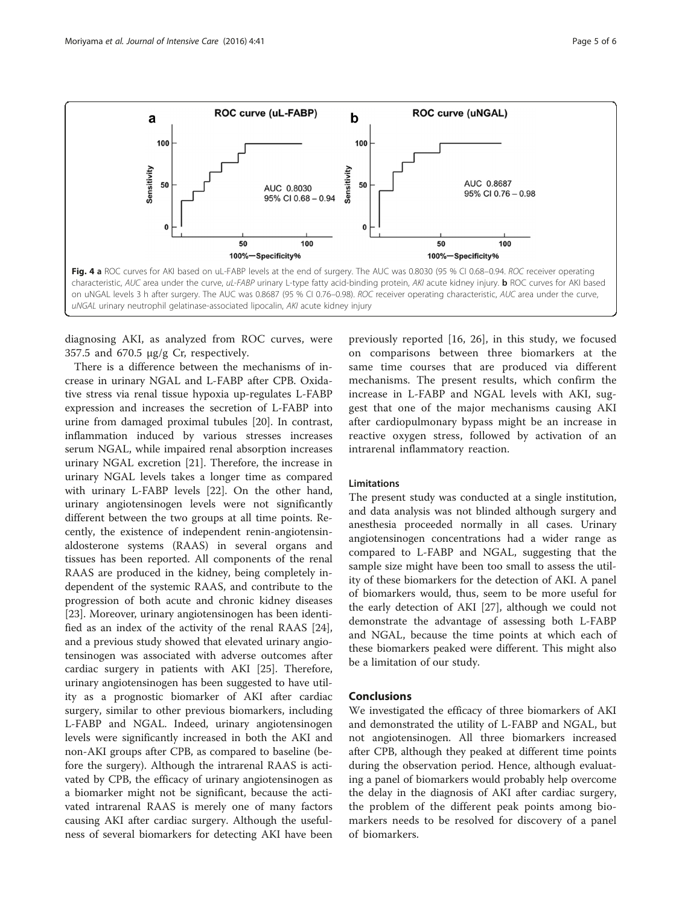<span id="page-4-0"></span>

diagnosing AKI, as analyzed from ROC curves, were 357.5 and 670.5 μg/g Cr, respectively.

There is a difference between the mechanisms of increase in urinary NGAL and L-FABP after CPB. Oxidative stress via renal tissue hypoxia up-regulates L-FABP expression and increases the secretion of L-FABP into urine from damaged proximal tubules [\[20](#page-5-0)]. In contrast, inflammation induced by various stresses increases serum NGAL, while impaired renal absorption increases urinary NGAL excretion [[21\]](#page-5-0). Therefore, the increase in urinary NGAL levels takes a longer time as compared with urinary L-FABP levels [\[22](#page-5-0)]. On the other hand, urinary angiotensinogen levels were not significantly different between the two groups at all time points. Recently, the existence of independent renin-angiotensinaldosterone systems (RAAS) in several organs and tissues has been reported. All components of the renal RAAS are produced in the kidney, being completely independent of the systemic RAAS, and contribute to the progression of both acute and chronic kidney diseases [[23\]](#page-5-0). Moreover, urinary angiotensinogen has been identified as an index of the activity of the renal RAAS [\[24](#page-5-0)], and a previous study showed that elevated urinary angiotensinogen was associated with adverse outcomes after cardiac surgery in patients with AKI [\[25](#page-5-0)]. Therefore, urinary angiotensinogen has been suggested to have utility as a prognostic biomarker of AKI after cardiac surgery, similar to other previous biomarkers, including L-FABP and NGAL. Indeed, urinary angiotensinogen levels were significantly increased in both the AKI and non-AKI groups after CPB, as compared to baseline (before the surgery). Although the intrarenal RAAS is activated by CPB, the efficacy of urinary angiotensinogen as a biomarker might not be significant, because the activated intrarenal RAAS is merely one of many factors causing AKI after cardiac surgery. Although the usefulness of several biomarkers for detecting AKI have been

previously reported [[16, 26\]](#page-5-0), in this study, we focused on comparisons between three biomarkers at the same time courses that are produced via different mechanisms. The present results, which confirm the increase in L-FABP and NGAL levels with AKI, suggest that one of the major mechanisms causing AKI after cardiopulmonary bypass might be an increase in reactive oxygen stress, followed by activation of an intrarenal inflammatory reaction.

#### Limitations

The present study was conducted at a single institution, and data analysis was not blinded although surgery and anesthesia proceeded normally in all cases. Urinary angiotensinogen concentrations had a wider range as compared to L-FABP and NGAL, suggesting that the sample size might have been too small to assess the utility of these biomarkers for the detection of AKI. A panel of biomarkers would, thus, seem to be more useful for the early detection of AKI [\[27](#page-5-0)], although we could not demonstrate the advantage of assessing both L-FABP and NGAL, because the time points at which each of these biomarkers peaked were different. This might also be a limitation of our study.

## Conclusions

We investigated the efficacy of three biomarkers of AKI and demonstrated the utility of L-FABP and NGAL, but not angiotensinogen. All three biomarkers increased after CPB, although they peaked at different time points during the observation period. Hence, although evaluating a panel of biomarkers would probably help overcome the delay in the diagnosis of AKI after cardiac surgery, the problem of the different peak points among biomarkers needs to be resolved for discovery of a panel of biomarkers.